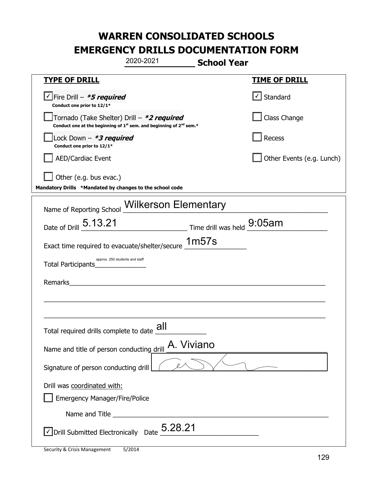|                                                                                    | 2020-2021                                                                     | <b>School Year</b>                                                                              |                           |
|------------------------------------------------------------------------------------|-------------------------------------------------------------------------------|-------------------------------------------------------------------------------------------------|---------------------------|
| <u>TYPE OF DRILL</u>                                                               |                                                                               |                                                                                                 | <u>TIME OF DRILL</u>      |
| √Fire Drill - *5 required<br>Conduct one prior to 12/1*                            |                                                                               |                                                                                                 | √ Standard                |
| Tornado (Take Shelter) Drill – *2 required                                         | Conduct one at the beginning of $1^{st}$ sem. and beginning of $2^{nd}$ sem.* |                                                                                                 | Class Change              |
| Lock Down - <b>*3 required</b><br>Conduct one prior to 12/1*                       |                                                                               |                                                                                                 | Recess                    |
| <b>AED/Cardiac Event</b>                                                           |                                                                               |                                                                                                 | Other Events (e.g. Lunch) |
| Other (e.g. bus evac.)<br>Mandatory Drills *Mandated by changes to the school code |                                                                               |                                                                                                 |                           |
| Name of Reporting School <b>Wilkerson Elementary</b>                               |                                                                               |                                                                                                 |                           |
| Date of Drill 5.13.21                                                              |                                                                               | $\frac{1}{\sqrt{1-\frac{1}{2}}}\right.$ Time drill was held $\frac{9:05}{\sqrt{1-\frac{1}{2}}}$ |                           |
| Exact time required to evacuate/shelter/secure 1m57s                               |                                                                               |                                                                                                 |                           |
| approx. 250 students and staff<br>Total Participants                               |                                                                               |                                                                                                 |                           |
| Remarks                                                                            | <u> 1980 - John Stein, Amerikaansk kanton (</u>                               |                                                                                                 |                           |
|                                                                                    |                                                                               |                                                                                                 |                           |
| Total required drills complete to date                                             | all                                                                           |                                                                                                 |                           |
| Name and title of person conducting drill                                          | A. Viviano                                                                    |                                                                                                 |                           |
| Signature of person conducting drill                                               |                                                                               |                                                                                                 |                           |
| Drill was coordinated with:<br><b>Emergency Manager/Fire/Police</b>                |                                                                               |                                                                                                 |                           |
|                                                                                    |                                                                               |                                                                                                 |                           |
| √ Drill Submitted Electronically Date                                              | 5.28.21                                                                       |                                                                                                 |                           |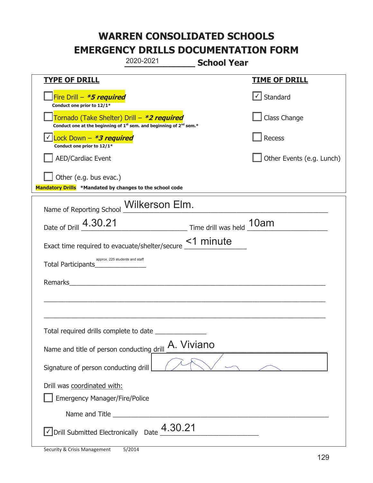|                                                                    | 2020-2021                                                                                   | <b>School Year</b> |                           |
|--------------------------------------------------------------------|---------------------------------------------------------------------------------------------|--------------------|---------------------------|
| <b>TYPE OF DRILL</b>                                               |                                                                                             |                    | <u>TIME OF DRILL</u>      |
| Fire Drill - *5 required<br>Conduct one prior to 12/1*             |                                                                                             |                    | √ Standard                |
| Tornado (Take Shelter) Drill – *2 required                         | Conduct one at the beginning of 1 <sup>st</sup> sem. and beginning of 2 <sup>nd</sup> sem.* |                    | Class Change              |
| Lock Down - *3 required<br>Conduct one prior to 12/1*              |                                                                                             |                    | Recess                    |
| <b>AED/Cardiac Event</b>                                           |                                                                                             |                    | Other Events (e.g. Lunch) |
| Other (e.g. bus evac.)                                             |                                                                                             |                    |                           |
| Mandatory Drills *Mandated by changes to the school code           |                                                                                             |                    |                           |
| Name of Reporting School __ Wilkerson Elm.                         |                                                                                             |                    |                           |
| Date of Drill 4.30.21                                              | Time drill was held 10am                                                                    |                    |                           |
| Exact time required to evacuate/shelter/secure <u>&lt;1</u> minute |                                                                                             |                    |                           |
| approx. 225 students and staff<br>Total Participants_              |                                                                                             |                    |                           |
| Remarks                                                            | <u> 1980 - Jan Barbara (j. 1980)</u>                                                        |                    |                           |
|                                                                    |                                                                                             |                    |                           |
|                                                                    |                                                                                             |                    |                           |
| Total required drills complete to date                             |                                                                                             |                    |                           |
| Name and title of person conducting drill                          | A. Viviano                                                                                  |                    |                           |
| Signature of person conducting drill                               |                                                                                             |                    |                           |
| Drill was coordinated with:                                        |                                                                                             |                    |                           |
| <b>Emergency Manager/Fire/Police</b>                               |                                                                                             |                    |                           |
| Name and Title _________                                           |                                                                                             |                    |                           |
| √ Drill Submitted Electronically Date                              | 4.30.21                                                                                     |                    |                           |

I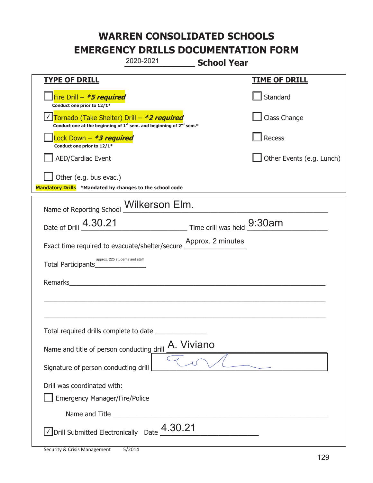|                                                                                    | 2020-2021                                                                                                             | <b>School Year</b> |                           |
|------------------------------------------------------------------------------------|-----------------------------------------------------------------------------------------------------------------------|--------------------|---------------------------|
| <b>TYPE OF DRILL</b>                                                               |                                                                                                                       |                    | <b>TIME OF DRILL</b>      |
| Fire Drill - *5 required<br>Conduct one prior to 12/1*                             |                                                                                                                       |                    | Standard                  |
| Tornado (Take Shelter) Drill – *2 required                                         | Conduct one at the beginning of $1st$ sem. and beginning of $2nd$ sem.*                                               |                    | Class Change              |
| Lock Down - *3 required<br>Conduct one prior to 12/1*                              |                                                                                                                       |                    | Recess                    |
| <b>AED/Cardiac Event</b>                                                           |                                                                                                                       |                    | Other Events (e.g. Lunch) |
| Other (e.g. bus evac.)<br>Mandatory Drills *Mandated by changes to the school code |                                                                                                                       |                    |                           |
| Name of Reporting School _Wilkerson Elm.                                           |                                                                                                                       |                    |                           |
| Date of Drill 4.30.21                                                              | $\frac{9:30am}{\frac{1}{2}}$ Time drill was held $\frac{9:30am}{\frac{1}{2}}$                                         |                    |                           |
| Exact time required to evacuate/shelter/secure __________________________________  |                                                                                                                       |                    |                           |
| approx. 225 students and staff<br>Total Participants <b>Total Participants</b>     |                                                                                                                       |                    |                           |
| Remarks                                                                            | <u> 1989 - Johann Harry Harry Harry Harry Harry Harry Harry Harry Harry Harry Harry Harry Harry Harry Harry Harry</u> |                    |                           |
|                                                                                    |                                                                                                                       |                    |                           |
| Total required drills complete to date                                             |                                                                                                                       |                    |                           |
| Name and title of person conducting drill                                          | A. Viviano                                                                                                            |                    |                           |
| Signature of person conducting drill                                               |                                                                                                                       |                    |                           |
| Drill was coordinated with:                                                        |                                                                                                                       |                    |                           |
| <b>Emergency Manager/Fire/Police</b>                                               |                                                                                                                       |                    |                           |
|                                                                                    |                                                                                                                       |                    |                           |
| $\vee$ Drill Submitted Electronically Date $\stackrel{4}{\rule{0pt}{0.5pt}}.30.21$ |                                                                                                                       |                    |                           |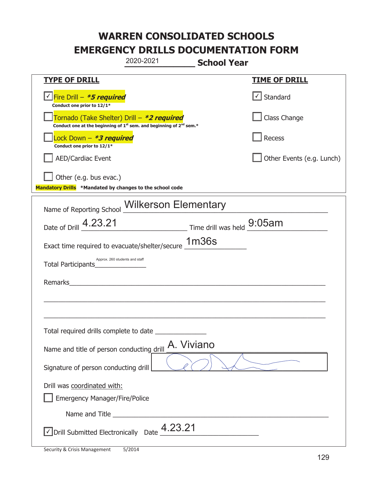|                                                                                    | 2020-2021                                                                                   | <b>School Year</b> |                           |
|------------------------------------------------------------------------------------|---------------------------------------------------------------------------------------------|--------------------|---------------------------|
| <b>TYPE OF DRILL</b>                                                               |                                                                                             |                    | <u>TIME OF DRILL</u>      |
| <u>√ Fire Drill – *5 required</u><br>Conduct one prior to 12/1*                    |                                                                                             |                    | $\vert$ Standard          |
| Tornado (Take Shelter) Drill – *2 required                                         | Conduct one at the beginning of 1 <sup>st</sup> sem. and beginning of 2 <sup>nd</sup> sem.* |                    | Class Change              |
| Lock Down - <b><i>*3 required</i></b><br>Conduct one prior to 12/1*                |                                                                                             |                    | Recess                    |
| <b>AED/Cardiac Event</b>                                                           |                                                                                             |                    | Other Events (e.g. Lunch) |
| Other (e.g. bus evac.)<br>Mandatory Drills *Mandated by changes to the school code |                                                                                             |                    |                           |
| Name of Reporting School <b>Wilkerson Elementary</b>                               |                                                                                             |                    |                           |
| Date of Drill 4.23.21                                                              | Time drill was held 9:05am                                                                  |                    |                           |
| Exact time required to evacuate/shelter/secure 1m36s                               |                                                                                             |                    |                           |
| Total Participants_____________                                                    | Approx. 260 students and staff                                                              |                    |                           |
| Remarks                                                                            | <u> 1980 - Jan Barnett, fransk politik (d. 1980)</u>                                        |                    |                           |
|                                                                                    |                                                                                             |                    |                           |
| Total required drills complete to date                                             |                                                                                             |                    |                           |
| Name and title of person conducting drill                                          |                                                                                             | A. Viviano         |                           |
| Signature of person conducting drill                                               |                                                                                             |                    |                           |
| Drill was coordinated with:<br><b>Emergency Manager/Fire/Police</b>                |                                                                                             |                    |                           |
|                                                                                    |                                                                                             |                    |                           |
| $\sqrt{2}$ Drill Submitted Electronically Date $4.23.21$                           |                                                                                             |                    |                           |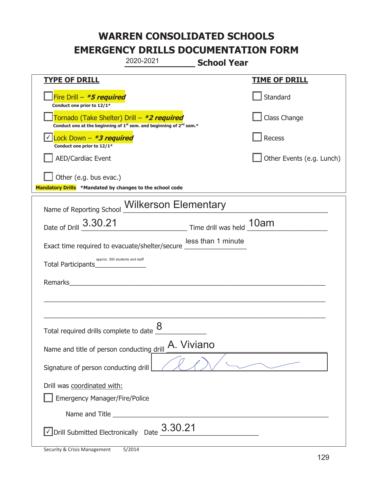|                                                                  | 2020-2021                                                                                   | <b>School Year</b>        |
|------------------------------------------------------------------|---------------------------------------------------------------------------------------------|---------------------------|
| <b>TYPE OF DRILL</b>                                             |                                                                                             | <u>TIME OF DRILL</u>      |
| Fire Drill - *5 required<br>Conduct one prior to 12/1*           |                                                                                             | Standard                  |
| Tornado (Take Shelter) Drill – *2 required                       | Conduct one at the beginning of 1 <sup>st</sup> sem. and beginning of 2 <sup>nd</sup> sem.* | Class Change              |
| Lock Down - *3 required<br>Conduct one prior to 12/1*            |                                                                                             | Recess                    |
| <b>AED/Cardiac Event</b>                                         |                                                                                             | Other Events (e.g. Lunch) |
| Other (e.g. bus evac.)                                           |                                                                                             |                           |
| Mandatory Drills *Mandated by changes to the school code         |                                                                                             |                           |
|                                                                  | Name of Reporting School <b>Wilkerson Elementary</b>                                        |                           |
| Date of Drill 3.30.21                                            | Time drill was held 10am                                                                    |                           |
| Exact time required to evacuate/shelter/secure _                 | less than 1 minute                                                                          |                           |
| approx. 300 students and staff<br>Total Participants             |                                                                                             |                           |
| Remarks                                                          | <u> 1980 - Jan Sterling von Berger (* 1950)</u>                                             |                           |
|                                                                  |                                                                                             |                           |
|                                                                  |                                                                                             |                           |
| Total required drills complete to date $\underline{\mathcal{8}}$ |                                                                                             |                           |
| Name and title of person conducting drill                        | A. Viviano                                                                                  |                           |
| Signature of person conducting drill                             |                                                                                             |                           |
| Drill was coordinated with:                                      |                                                                                             |                           |
| <b>Emergency Manager/Fire/Police</b>                             |                                                                                             |                           |
|                                                                  |                                                                                             |                           |
| √ Drill Submitted Electronically Date                            | 3.30.21                                                                                     |                           |

I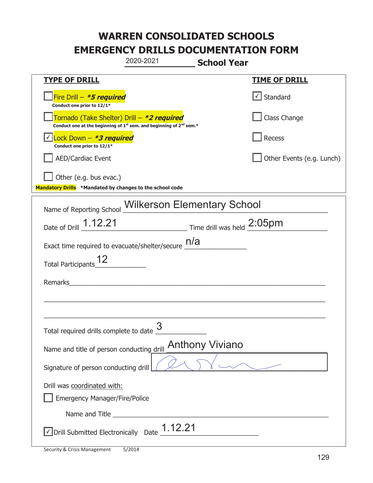|                                                                                    | 2020-2021                                                                                   | <b>School Year</b>     |                                   |
|------------------------------------------------------------------------------------|---------------------------------------------------------------------------------------------|------------------------|-----------------------------------|
| <b>TYPE OF DRILL</b>                                                               |                                                                                             |                        | <u>TIME OF DRILL</u>              |
| Fire Drill - *5 required<br>Conduct one prior to 12/1*                             |                                                                                             |                        | $\lfloor \angle \rfloor$ Standard |
| Tornado (Take Shelter) Drill – *2 required                                         | Conduct one at the beginning of 1 <sup>st</sup> sem. and beginning of 2 <sup>nd</sup> sem.* |                        | Class Change                      |
| Lock Down - *3 required<br>Conduct one prior to 12/1*                              |                                                                                             |                        | Recess                            |
| <b>AED/Cardiac Event</b>                                                           |                                                                                             |                        | Other Events (e.g. Lunch)         |
| Other (e.g. bus evac.)<br>Mandatory Drills *Mandated by changes to the school code |                                                                                             |                        |                                   |
| Name of Reporting School Wilkerson Elementary School                               |                                                                                             |                        |                                   |
| Date of Drill 1.12.21                                                              | Time drill was held 2:05pm                                                                  |                        |                                   |
| Exact time required to evacuate/shelter/secure $\frac{n}{a}$                       |                                                                                             |                        |                                   |
| <b>Total Participants</b>                                                          |                                                                                             |                        |                                   |
| Remarks                                                                            |                                                                                             |                        |                                   |
|                                                                                    |                                                                                             |                        |                                   |
| Total required drills complete to date                                             | 3                                                                                           |                        |                                   |
| Name and title of person conducting drill                                          |                                                                                             | <b>Anthony Viviano</b> |                                   |
| Signature of person conducting drill                                               |                                                                                             |                        |                                   |
| Drill was coordinated with:<br><b>Emergency Manager/Fire/Police</b>                |                                                                                             |                        |                                   |
|                                                                                    |                                                                                             |                        |                                   |
| √ Drill Submitted Electronically Date                                              | 1.12.21                                                                                     |                        |                                   |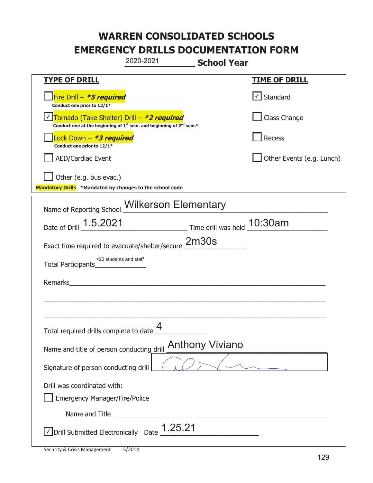|                                                                                    | 2020-2021                                                                                   | <b>School Year</b>        |
|------------------------------------------------------------------------------------|---------------------------------------------------------------------------------------------|---------------------------|
| <b>TYPE OF DRILL</b>                                                               |                                                                                             | <u>TIME OF DRILL</u>      |
| Fire Drill - *5 required<br>Conduct one prior to 12/1*                             |                                                                                             | Standard                  |
| Tornado (Take Shelter) Drill – *2 required                                         | Conduct one at the beginning of 1 <sup>st</sup> sem. and beginning of 2 <sup>nd</sup> sem.* | Class Change              |
| Lock Down - <b>*3 required</b><br>Conduct one prior to 12/1*                       |                                                                                             | Recess                    |
| AED/Cardiac Event                                                                  |                                                                                             | Other Events (e.g. Lunch) |
| Other (e.g. bus evac.)<br>Mandatory Drills *Mandated by changes to the school code |                                                                                             |                           |
|                                                                                    | Name of Reporting School Wilkerson Elementary                                               |                           |
|                                                                                    | Date of Drill 1.5.2021 Time drill was held 10:30am                                          |                           |
|                                                                                    | Exact time required to evacuate/shelter/secure 2m30s                                        |                           |
| <20 students and staff<br>Total Participants_                                      |                                                                                             |                           |
| Remarks                                                                            |                                                                                             |                           |
|                                                                                    |                                                                                             |                           |
| Total required drills complete to date $\frac{4}{1}$                               |                                                                                             |                           |
| Name and title of person conducting drill                                          | <b>Anthony Viviano</b>                                                                      |                           |
| Signature of person conducting drill                                               |                                                                                             |                           |
| Drill was coordinated with:<br><b>Emergency Manager/Fire/Police</b>                |                                                                                             |                           |
|                                                                                    |                                                                                             |                           |
| √ Drill Submitted Electronically Date                                              | 1.25.21                                                                                     |                           |

I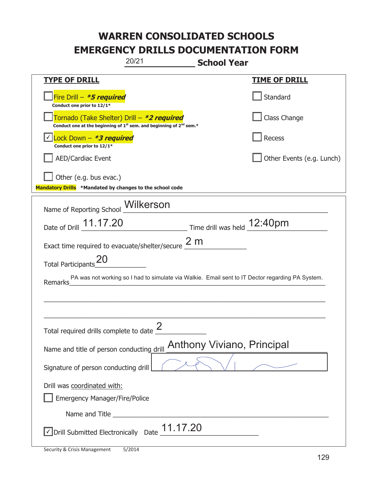| 20/21                                                                                                                                     | <b>School Year</b>                                                                               |
|-------------------------------------------------------------------------------------------------------------------------------------------|--------------------------------------------------------------------------------------------------|
| <b>TYPE OF DRILL</b>                                                                                                                      | <b>TIME OF DRILL</b>                                                                             |
| Fire Drill - *5 required<br>Conduct one prior to 12/1*                                                                                    | Standard                                                                                         |
| Tornado (Take Shelter) Drill – *2 required<br>Conduct one at the beginning of 1 <sup>st</sup> sem. and beginning of 2 <sup>nd</sup> sem.* | Class Change                                                                                     |
| Lock Down - *3 required<br>Conduct one prior to 12/1*                                                                                     | <b>Recess</b>                                                                                    |
| <b>AED/Cardiac Event</b>                                                                                                                  | Other Events (e.g. Lunch)                                                                        |
| Other (e.g. bus evac.)<br>Mandatory Drills *Mandated by changes to the school code                                                        |                                                                                                  |
| Name of Reporting School __ Wilkerson                                                                                                     |                                                                                                  |
| Date of Drill 11.17.20                                                                                                                    | Time drill was held 12:40pm                                                                      |
| Exact time required to evacuate/shelter/secure $\frac{2 \text{ m}}{2}$                                                                    |                                                                                                  |
| <b>20</b><br><b>Total Participants</b>                                                                                                    |                                                                                                  |
| Remarks                                                                                                                                   | PA was not working so I had to simulate via Walkie. Email sent to IT Dector regarding PA System. |
|                                                                                                                                           |                                                                                                  |
|                                                                                                                                           |                                                                                                  |
| Total required drills complete to date $\frac{2}{3}$                                                                                      |                                                                                                  |
| Name and title of person conducting drill                                                                                                 | Anthony Viviano, Principal                                                                       |
| Signature of person conducting drill                                                                                                      |                                                                                                  |
| Drill was coordinated with:                                                                                                               |                                                                                                  |
| <b>Emergency Manager/Fire/Police</b>                                                                                                      |                                                                                                  |
|                                                                                                                                           |                                                                                                  |
| $\sqrt{\frac{1}{1}}$ Drill Submitted Electronically Date $\underline{\hspace{1cm}}$ 11.17.20                                              |                                                                                                  |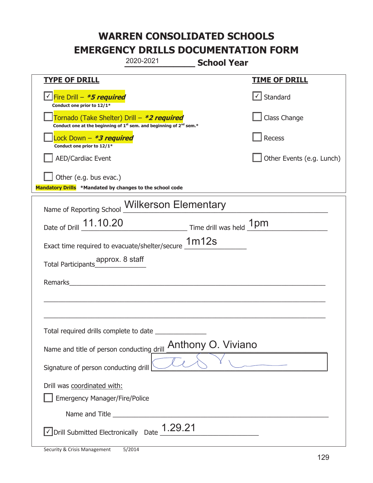| 2020-2021                                                                                                                                 | <b>School Year</b>                                                         |
|-------------------------------------------------------------------------------------------------------------------------------------------|----------------------------------------------------------------------------|
| <b>TYPE OF DRILL</b>                                                                                                                      | <b>TIME OF DRILL</b>                                                       |
| <u>√ Fire Drill – <i>*5 required</i></u><br>Conduct one prior to 12/1*                                                                    | √ Standard                                                                 |
| Tornado (Take Shelter) Drill – *2 required<br>Conduct one at the beginning of 1 <sup>st</sup> sem. and beginning of 2 <sup>nd</sup> sem.* | Class Change                                                               |
| Lock Down – <b>*<i>3 required</i></b><br>Conduct one prior to 12/1*                                                                       | Recess                                                                     |
| <b>AED/Cardiac Event</b>                                                                                                                  | Other Events (e.g. Lunch)                                                  |
| Other (e.g. bus evac.)<br>Mandatory Drills *Mandated by changes to the school code                                                        |                                                                            |
|                                                                                                                                           |                                                                            |
| Name of Reporting School Wilkerson Elementary                                                                                             |                                                                            |
| Date of Drill 11.10.20                                                                                                                    | $\overline{\phantom{a}}$ Time drill was held $\overline{\phantom{a}}$ 1 pm |
| Exact time required to evacuate/shelter/secure 1m12s                                                                                      |                                                                            |
| Total Participants___                                                                                                                     |                                                                            |
| Remarks                                                                                                                                   |                                                                            |
|                                                                                                                                           |                                                                            |
|                                                                                                                                           |                                                                            |
| Total required drills complete to date                                                                                                    |                                                                            |
| Name and title of person conducting drill Anthony O. Viviano                                                                              |                                                                            |
| Signature of person conducting drill                                                                                                      |                                                                            |
| Drill was coordinated with:                                                                                                               |                                                                            |
| <b>Emergency Manager/Fire/Police</b>                                                                                                      |                                                                            |
|                                                                                                                                           |                                                                            |
| $\vee$ Drill Submitted Electronically Date $\underline{1.29.21}$                                                                          |                                                                            |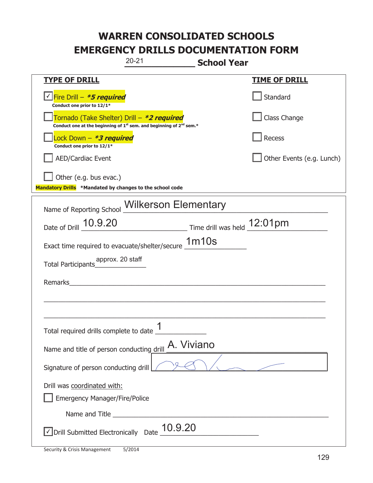| $20 - 21$                                                                                                                   | <b>School Year</b>          |
|-----------------------------------------------------------------------------------------------------------------------------|-----------------------------|
| <b>TYPE OF DRILL</b>                                                                                                        | <u>TIME OF DRILL</u>        |
| <u>√ Fire Drill – <i>*5 required</i></u><br>Conduct one prior to 12/1*                                                      | Standard                    |
| Tornado (Take Shelter) Drill – *2 required<br>Conduct one at the beginning of $1^{st}$ sem. and beginning of $2^{nd}$ sem.* | Class Change                |
| ock Down - <b>*3 required</b><br>Conduct one prior to 12/1*                                                                 | Recess                      |
| <b>AED/Cardiac Event</b>                                                                                                    | Other Events (e.g. Lunch)   |
| Other (e.g. bus evac.)<br>Mandatory Drills *Mandated by changes to the school code                                          |                             |
| Name of Reporting School <b>Wilkerson Elementary</b>                                                                        |                             |
| Date of Drill _ 10.9.20                                                                                                     | Time drill was held 12:01pm |
| Exact time required to evacuate/shelter/secure 1m10s                                                                        |                             |
|                                                                                                                             |                             |
| Remarks                                                                                                                     |                             |
|                                                                                                                             |                             |
| 1<br>Total required drills complete to date                                                                                 |                             |
| Name and title of person conducting drill                                                                                   | A. Viviano                  |
| Signature of person conducting drill                                                                                        |                             |
| Drill was coordinated with:<br><b>Emergency Manager/Fire/Police</b>                                                         |                             |
|                                                                                                                             |                             |
| $\vee$ Drill Submitted Electronically Date $\underline{10.9.20}$                                                            |                             |